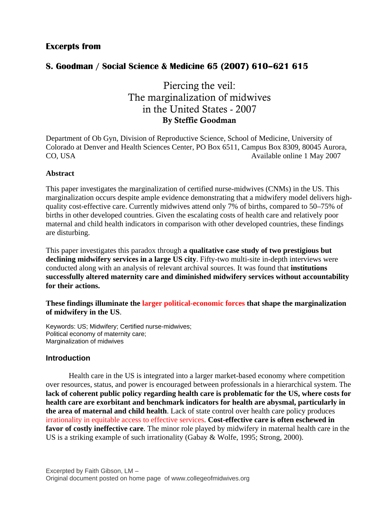## **Excerpts from**

## **S. Goodman / Social Science & Medicine 65 (2007) 610–621 615**

# Piercing the veil: The marginalization of midwives in the United States - 2007 By Steffie Goodman

Department of Ob Gyn, Division of Reproductive Science, School of Medicine, University of Colorado at Denver and Health Sciences Center, PO Box 6511, Campus Box 8309, 80045 Aurora, CO, USA Available online 1 May 2007

#### **Abstract**

This paper investigates the marginalization of certified nurse-midwives (CNMs) in the US. This marginalization occurs despite ample evidence demonstrating that a midwifery model delivers highquality cost-effective care. Currently midwives attend only 7% of births, compared to 50–75% of births in other developed countries. Given the escalating costs of health care and relatively poor maternal and child health indicators in comparison with other developed countries, these findings are disturbing.

This paper investigates this paradox through **a qualitative case study of two prestigious but declining midwifery services in a large US city**. Fifty-two multi-site in-depth interviews were conducted along with an analysis of relevant archival sources. It was found that **institutions successfully altered maternity care and diminished midwifery services without accountability for their actions.** 

#### **These findings illuminate the larger political-economic forces that shape the marginalization of midwifery in the US**.

Keywords: US; Midwifery; Certified nurse-midwives; Political economy of maternity care; Marginalization of midwives

#### **Introduction**

Health care in the US is integrated into a larger market-based economy where competition over resources, status, and power is encouraged between professionals in a hierarchical system. The **lack of coherent public policy regarding health care is problematic for the US, where costs for health care are exorbitant and benchmark indicators for health are abysmal, particularly in the area of maternal and child health**. Lack of state control over health care policy produces irrationality in equitable access to effective services. **Cost-effective care is often eschewed in favor of costly ineffective care**. The minor role played by midwifery in maternal health care in the US is a striking example of such irrationality (Gabay & Wolfe, 1995; Strong, 2000).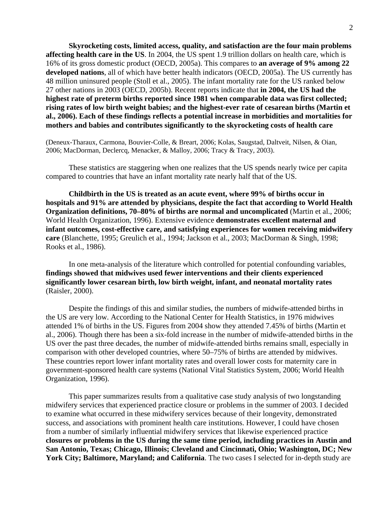**Skyrocketing costs, limited access, quality, and satisfaction are the four main problems affecting health care in the US**. In 2004, the US spent 1.9 trillion dollars on health care, which is 16% of its gross domestic product (OECD, 2005a). This compares to **an average of 9% among 22 developed nations**, all of which have better health indicators (OECD, 2005a). The US currently has 48 million uninsured people (Stoll et al., 2005). The infant mortality rate for the US ranked below 27 other nations in 2003 (OECD, 2005b). Recent reports indicate that **in 2004, the US had the highest rate of preterm births reported since 1981 when comparable data was first collected; rising rates of low birth weight babies; and the highest-ever rate of cesarean births (Martin et al., 2006). Each of these findings reflects a potential increase in morbidities and mortalities for mothers and babies and contributes significantly to the skyrocketing costs of health care** 

(Deneux-Tharaux, Carmona, Bouvier-Colle, & Breart, 2006; Kolas, Saugstad, Daltveit, Nilsen, & Oian, 2006; MacDorman, Declercq, Menacker, & Malloy, 2006; Tracy & Tracy, 2003).

These statistics are staggering when one realizes that the US spends nearly twice per capita compared to countries that have an infant mortality rate nearly half that of the US.

**Childbirth in the US is treated as an acute event, where 99% of births occur in hospitals and 91% are attended by physicians, despite the fact that according to World Health Organization definitions, 70–80% of births are normal and uncomplicated** (Martin et al., 2006; World Health Organization, 1996). Extensive evidence **demonstrates excellent maternal and infant outcomes, cost-effective care, and satisfying experiences for women receiving midwifery care** (Blanchette, 1995; Greulich et al., 1994; Jackson et al., 2003; MacDorman & Singh, 1998; Rooks et al., 1986).

In one meta-analysis of the literature which controlled for potential confounding variables, **findings showed that midwives used fewer interventions and their clients experienced significantly lower cesarean birth, low birth weight, infant, and neonatal mortality rates**  (Raisler, 2000).

Despite the findings of this and similar studies, the numbers of midwife-attended births in the US are very low. According to the National Center for Health Statistics, in 1976 midwives attended 1% of births in the US. Figures from 2004 show they attended 7.45% of births (Martin et al., 2006). Though there has been a six-fold increase in the number of midwife-attended births in the US over the past three decades, the number of midwife-attended births remains small, especially in comparison with other developed countries, where 50–75% of births are attended by midwives. These countries report lower infant mortality rates and overall lower costs for maternity care in government-sponsored health care systems (National Vital Statistics System, 2006; World Health Organization, 1996).

This paper summarizes results from a qualitative case study analysis of two longstanding midwifery services that experienced practice closure or problems in the summer of 2003. I decided to examine what occurred in these midwifery services because of their longevity, demonstrated success, and associations with prominent health care institutions. However, I could have chosen from a number of similarly influential midwifery services that likewise experienced practice **closures or problems in the US during the same time period, including practices in Austin and San Antonio, Texas; Chicago, Illinois; Cleveland and Cincinnati, Ohio; Washington, DC; New York City; Baltimore, Maryland; and California**. The two cases I selected for in-depth study are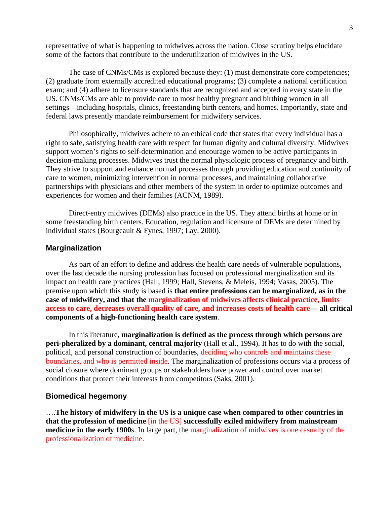representative of what is happening to midwives across the nation. Close scrutiny helps elucidate some of the factors that contribute to the underutilization of midwives in the US.

The case of CNMs/CMs is explored because they: (1) must demonstrate core competencies; (2) graduate from externally accredited educational programs; (3) complete a national certification exam; and (4) adhere to licensure standards that are recognized and accepted in every state in the US. CNMs/CMs are able to provide care to most healthy pregnant and birthing women in all settings—including hospitals, clinics, freestanding birth centers, and homes. Importantly, state and federal laws presently mandate reimbursement for midwifery services.

Philosophically, midwives adhere to an ethical code that states that every individual has a right to safe, satisfying health care with respect for human dignity and cultural diversity. Midwives support women's rights to self-determination and encourage women to be active participants in decision-making processes. Midwives trust the normal physiologic process of pregnancy and birth. They strive to support and enhance normal processes through providing education and continuity of care to women, minimizing intervention in normal processes, and maintaining collaborative partnerships with physicians and other members of the system in order to optimize outcomes and experiences for women and their families (ACNM, 1989).

Direct-entry midwives (DEMs) also practice in the US. They attend births at home or in some freestanding birth centers. Education, regulation and licensure of DEMs are determined by individual states (Bourgeault & Fynes, 1997; Lay, 2000).

#### **Marginalization**

As part of an effort to define and address the health care needs of vulnerable populations, over the last decade the nursing profession has focused on professional marginalization and its impact on health care practices (Hall, 1999; Hall, Stevens, & Meleis, 1994; Vasas, 2005). The premise upon which this study is based is **that entire professions can be marginalized, as in the case of midwifery, and that the marginalization of midwives affects clinical practice, limits access to care, decreases overall quality of care, and increases costs of health care— all critical components of a high-functioning health care system**.

In this literature, **marginalization is defined as the process through which persons are peri-pheralized by a dominant, central majority** (Hall et al., 1994). It has to do with the social, political, and personal construction of boundaries, deciding who controls and maintains these boundaries, and who is permitted inside. The marginalization of professions occurs via a process of social closure where dominant groups or stakeholders have power and control over market conditions that protect their interests from competitors (Saks, 2001).

#### **Biomedical hegemony**

….**The history of midwifery in the US is a unique case when compared to other countries in that the profession of medicine** [in the US] **successfully exiled midwifery from mainstream medicine in the early 1900**s. In large part, the marginalization of midwives is one casualty of the professionalization of medicine.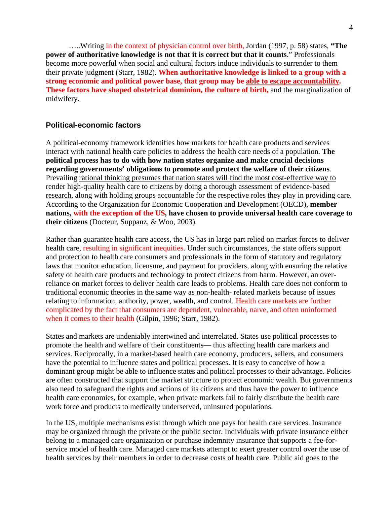…..Writing in the context of physician control over birth, Jordan (1997, p. 58) states, **"The power of authoritative knowledge is not that it is correct but that it counts."** Professionals become more powerful when social and cultural factors induce individuals to surrender to them their private judgment (Starr, 1982). **When authoritative knowledge is linked to a group with a strong economic and political power base, that group may be able to escape accountability. These factors have shaped obstetrical dominion, the culture of birth,** and the marginalization of midwifery.

## **Political-economic factors**

A political-economy framework identifies how markets for health care products and services interact with national health care policies to address the health care needs of a population. **The political process has to do with how nation states organize and make crucial decisions regarding governments' obligations to promote and protect the welfare of their citizens**. Prevailing rational thinking presumes that nation states will find the most cost-effective way to render high-quality health care to citizens by doing a thorough assessment of evidence-based research, along with holding groups accountable for the respective roles they play in providing care. According to the Organization for Economic Cooperation and Development (OECD), **member nations, with the exception of the US, have chosen to provide universal health care coverage to their citizens** (Docteur, Suppanz, & Woo, 2003).

Rather than guarantee health care access, the US has in large part relied on market forces to deliver health care, resulting in significant inequities. Under such circumstances, the state offers support and protection to health care consumers and professionals in the form of statutory and regulatory laws that monitor education, licensure, and payment for providers, along with ensuring the relative safety of health care products and technology to protect citizens from harm. However, an overreliance on market forces to deliver health care leads to problems. Health care does not conform to traditional economic theories in the same way as non-health- related markets because of issues relating to information, authority, power, wealth, and control. Health care markets are further complicated by the fact that consumers are dependent, vulnerable, naıve, and often uninformed when it comes to their health (Gilpin, 1996; Starr, 1982).

States and markets are undeniably intertwined and interrelated. States use political processes to promote the health and welfare of their constituents— thus affecting health care markets and services. Reciprocally, in a market-based health care economy, producers, sellers, and consumers have the potential to influence states and political processes. It is easy to conceive of how a dominant group might be able to influence states and political processes to their advantage. Policies are often constructed that support the market structure to protect economic wealth. But governments also need to safeguard the rights and actions of its citizens and thus have the power to influence health care economies, for example, when private markets fail to fairly distribute the health care work force and products to medically underserved, uninsured populations.

In the US, multiple mechanisms exist through which one pays for health care services. Insurance may be organized through the private or the public sector. Individuals with private insurance either belong to a managed care organization or purchase indemnity insurance that supports a fee-forservice model of health care. Managed care markets attempt to exert greater control over the use of health services by their members in order to decrease costs of health care. Public aid goes to the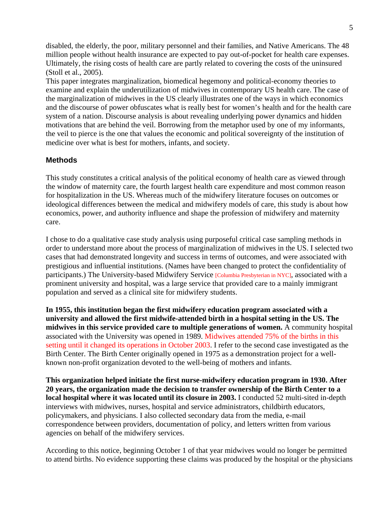disabled, the elderly, the poor, military personnel and their families, and Native Americans. The 48 million people without health insurance are expected to pay out-of-pocket for health care expenses. Ultimately, the rising costs of health care are partly related to covering the costs of the uninsured (Stoll et al., 2005).

This paper integrates marginalization, biomedical hegemony and political-economy theories to examine and explain the underutilization of midwives in contemporary US health care. The case of the marginalization of midwives in the US clearly illustrates one of the ways in which economics and the discourse of power obfuscates what is really best for women's health and for the health care system of a nation. Discourse analysis is about revealing underlying power dynamics and hidden motivations that are behind the veil. Borrowing from the metaphor used by one of my informants, the veil to pierce is the one that values the economic and political sovereignty of the institution of medicine over what is best for mothers, infants, and society.

## **Methods**

This study constitutes a critical analysis of the political economy of health care as viewed through the window of maternity care, the fourth largest health care expenditure and most common reason for hospitalization in the US. Whereas much of the midwifery literature focuses on outcomes or ideological differences between the medical and midwifery models of care, this study is about how economics, power, and authority influence and shape the profession of midwifery and maternity care.

I chose to do a qualitative case study analysis using purposeful critical case sampling methods in order to understand more about the process of marginalization of midwives in the US. I selected two cases that had demonstrated longevity and success in terms of outcomes, and were associated with prestigious and influential institutions. (Names have been changed to protect the confidentiality of participants.) The University-based Midwifery Service [Columbia Presbyterian in NYC], associated with a prominent university and hospital, was a large service that provided care to a mainly immigrant population and served as a clinical site for midwifery students.

**In 1955, this institution began the first midwifery education program associated with a university and allowed the first midwife-attended birth in a hospital setting in the US. The midwives in this service provided care to multiple generations of women.** A community hospital associated with the University was opened in 1989. Midwives attended 75% of the births in this setting until it changed its operations in October 2003. I refer to the second case investigated as the Birth Center. The Birth Center originally opened in 1975 as a demonstration project for a wellknown non-profit organization devoted to the well-being of mothers and infants.

**This organization helped initiate the first nurse-midwifery education program in 1930. After 20 years, the organization made the decision to transfer ownership of the Birth Center to a local hospital where it was located until its closure in 2003.** I conducted 52 multi-sited in-depth interviews with midwives, nurses, hospital and service administrators, childbirth educators, policymakers, and physicians. I also collected secondary data from the media, e-mail correspondence between providers, documentation of policy, and letters written from various agencies on behalf of the midwifery services.

According to this notice, beginning October 1 of that year midwives would no longer be permitted to attend births. No evidence supporting these claims was produced by the hospital or the physicians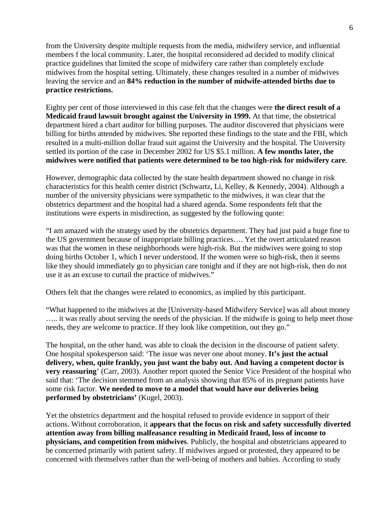from the University despite multiple requests from the media, midwifery service, and influential members f the local community. Later, the hospital reconsidered ad decided to modify clinical practice guidelines that limited the scope of midwifery care rather than completely exclude midwives from the hospital setting. Ultimately, these changes resulted in a number of midwives leaving the service and an **84% reduction in the number of midwife-attended births due to practice restrictions.**

Eighty per cent of those interviewed in this case felt that the changes were **the direct result of a Medicaid fraud lawsuit brought against the University in 1999.** At that time, the obstetrical department hired a chart auditor for billing purposes. The auditor discovered that physicians were billing for births attended by midwives. She reported these findings to the state and the FBI, which resulted in a multi-million dollar fraud suit against the University and the hospital. The University settled its portion of the case in December 2002 for US \$5.1 million. **A few months later, the midwives were notified that patients were determined to be too high-risk for midwifery care**.

However, demographic data collected by the state health department showed no change in risk characteristics for this health center district (Schwartz, Li, Kelley, & Kennedy, 2004). Although a number of the university physicians were sympathetic to the midwives, it was clear that the obstetrics department and the hospital had a shared agenda. Some respondents felt that the institutions were experts in misdirection, as suggested by the following quote:

"I am amazed with the strategy used by the obstetrics department. They had just paid a huge fine to the US government because of inappropriate billing practices…. Yet the overt articulated reason was that the women in these neighborhoods were high-risk. But the midwives were going to stop doing births October 1, which I never understood. If the women were so high-risk, then it seems like they should immediately go to physician care tonight and if they are not high-risk, then do not use it as an excuse to curtail the practice of midwives."

Others felt that the changes were related to economics, as implied by this participant.

"What happened to the midwives at the [University-based Midwifery Service] was all about money ….. it was really about serving the needs of the physician. If the midwife is going to help meet those needs, they are welcome to practice. If they look like competition, out they go."

The hospital, on the other hand, was able to cloak the decision in the discourse of patient safety. One hospital spokesperson said: 'The issue was never one about money. **It's just the actual delivery, when, quite frankly, you just want the baby out. And having a competent doctor is very reassuring**' (Carr, 2003). Another report quoted the Senior Vice President of the hospital who said that: 'The decision stemmed from an analysis showing that 85% of its pregnant patients have some risk factor. **We needed to move to a model that would have our deliveries being performed by obstetricians'** (Kugel, 2003).

Yet the obstetrics department and the hospital refused to provide evidence in support of their actions. Without corroboration, it **appears that the focus on risk and safety successfully diverted attention away from billing malfeasance resulting in Medicaid fraud, loss of income to physicians, and competition from midwives**. Publicly, the hospital and obstetricians appeared to be concerned primarily with patient safety. If midwives argued or protested, they appeared to be concerned with themselves rather than the well-being of mothers and babies. According to study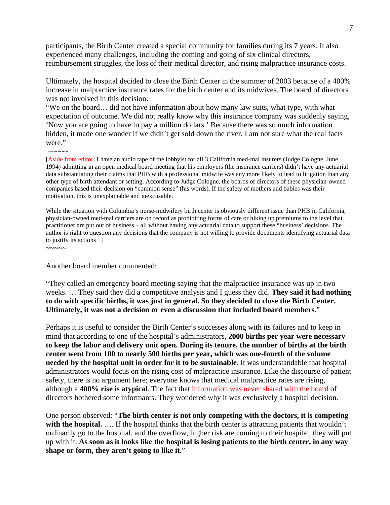participants, the Birth Center created a special community for families during its 7 years. It also experienced many challenges, including the coming and going of six clinical directors, reimbursement struggles, the loss of their medical director, and rising malpractice insurance costs.

Ultimately, the hospital decided to close the Birth Center in the summer of 2003 because of a 400% increase in malpractice insurance rates for the birth center and its midwives. The board of directors was not involved in this decision:

"We on the board… did not have information about how many law suits, what type, with what expectation of outcome. We did not really know why this insurance company was suddenly saying, 'Now you are going to have to pay a million dollars.' Because there was so much information hidden, it made one wonder if we didn't get sold down the river. I am not sure what the real facts were."

 $\sim\sim\sim\sim\sim$ 

[Aside from editor: I have an audio tape of the lobbyist for all 3 California med-mal insurers (Judge Cologne, June 1994) admitting in an open medical board meeting that his employers (the insurance carriers) didn't have any actuarial data substantiating their claims that PHB with a professional midwife was any more likely to lead to litigation than any other type of birth attendant or setting. According to Judge Cologne, the boards of directors of these physician-owned companies based their decision on "common sense" (his words). If the safety of mothers and babies was their motivation, this is unexplainable and inexcusable.

While the situation with Columbia's nurse-midwifery birth center is obviously different issue than PHB in California, physician-owned med-mal carriers are on record as prohibiting forms of care or hiking up premiums to the level that practitioner are put out of business – all without having any actuarial data to support these "business' decisions. The author is right to question any decisions that the company is not willing to provide documents identifying actuarial data to justify its actions ] ~~~~~

Another board member commented:

"They called an emergency board meeting saying that the malpractice insurance was up in two weeks. … They said they did a competitive analysis and I guess they did. **They said it had nothing to do with specific births, it was just in general. So they decided to close the Birth Center. Ultimately, it was not a decision or even a discussion that included board members**."

Perhaps it is useful to consider the Birth Center's successes along with its failures and to keep in mind that according to one of the hospital's administrators, **2000 births per year were necessary to keep the labor and delivery unit open. During its tenure, the number of births at the birth center went from 100 to nearly 500 births per year, which was one-fourth of the volume needed by the hospital unit in order for it to be sustainable.** It was understandable that hospital administrators would focus on the rising cost of malpractice insurance. Like the discourse of patient safety, there is no argument here; everyone knows that medical malpractice rates are rising, although a **400% rise is atypical**. The fact that information was never shared with the board of directors bothered some informants. They wondered why it was exclusively a hospital decision.

One person observed: "**The birth center is not only competing with the doctors, it is competing**  with the hospital. .... If the hospital thinks that the birth center is attracting patients that wouldn't ordinarily go to the hospital, and the overflow, higher risk are coming to their hospital, they will put up with it. **As soon as it looks like the hospital is losing patients to the birth center, in any way shape or form, they aren't going to like it**."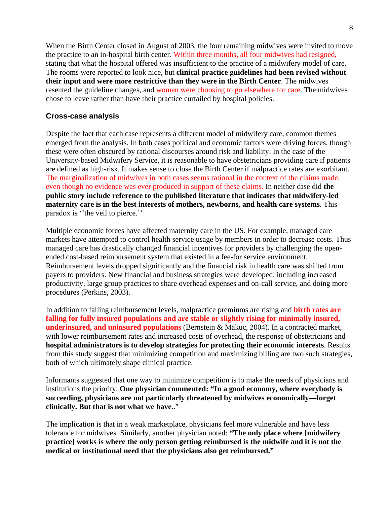When the Birth Center closed in August of 2003, the four remaining midwives were invited to move the practice to an in-hospital birth center. Within three months, all four midwives had resigned, stating that what the hospital offered was insufficient to the practice of a midwifery model of care. The rooms were reported to look nice, but **clinical practice guidelines had been revised without their input and were more restrictive than they were in the Birth Center**. The midwives resented the guideline changes, and women were choosing to go elsewhere for care. The midwives chose to leave rather than have their practice curtailed by hospital policies.

## **Cross-case analysis**

Despite the fact that each case represents a different model of midwifery care, common themes emerged from the analysis. In both cases political and economic factors were driving forces, though these were often obscured by rational discourses around risk and liability. In the case of the University-based Midwifery Service, it is reasonable to have obstetricians providing care if patients are defined as high-risk. It makes sense to close the Birth Center if malpractice rates are exorbitant. The marginalization of midwives in both cases seems rational in the context of the claims made, even though no evidence was ever produced in support of these claims. In neither case did **the public story include reference to the published literature that indicates that midwifery-led maternity care is in the best interests of mothers, newborns, and health care systems**. This paradox is ''the veil to pierce.''

Multiple economic forces have affected maternity care in the US. For example, managed care markets have attempted to control health service usage by members in order to decrease costs. Thus managed care has drastically changed financial incentives for providers by challenging the openended cost-based reimbursement system that existed in a fee-for service environment. Reimbursement levels dropped significantly and the financial risk in health care was shifted from payers to providers. New financial and business strategies were developed, including increased productivity, large group practices to share overhead expenses and on-call service, and doing more procedures (Perkins, 2003).

In addition to falling reimbursement levels, malpractice premiums are rising and **birth rates are falling for fully insured populations and are stable or slightly rising for minimally insured, underinsured, and uninsured populations** (Bernstein & Makuc, 2004). In a contracted market, with lower reimbursement rates and increased costs of overhead, the response of obstetricians and **hospital administrators is to develop strategies for protecting their economic interests**. Results from this study suggest that minimizing competition and maximizing billing are two such strategies, both of which ultimately shape clinical practice.

Informants suggested that one way to minimize competition is to make the needs of physicians and institutions the priority. **One physician commented: "In a good economy, where everybody is succeeding, physicians are not particularly threatened by midwives economically—forget clinically. But that is not what we have..**"

The implication is that in a weak marketplace, physicians feel more vulnerable and have less tolerance for midwives. Similarly, another physician noted: **"The only place where [midwifery practice] works is where the only person getting reimbursed is the midwife and it is not the medical or institutional need that the physicians also get reimbursed."**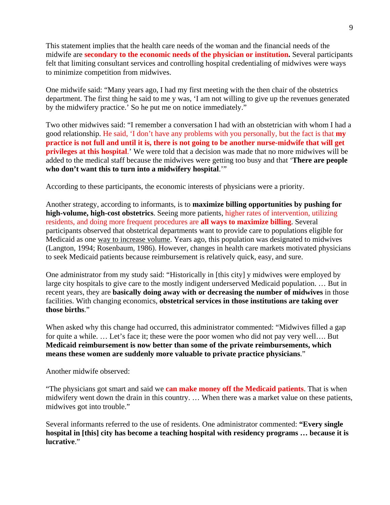This statement implies that the health care needs of the woman and the financial needs of the midwife are **secondary to the economic needs of the physician or institution.** Several participants felt that limiting consultant services and controlling hospital credentialing of midwives were ways to minimize competition from midwives.

One midwife said: "Many years ago, I had my first meeting with the then chair of the obstetrics department. The first thing he said to me y was, 'I am not willing to give up the revenues generated by the midwifery practice.' So he put me on notice immediately."

Two other midwives said: "I remember a conversation I had with an obstetrician with whom I had a good relationship. He said, 'I don't have any problems with you personally, but the fact is that **my practice is not full and until it is, there is not going to be another nurse-midwife that will get privileges at this hospital**.' We were told that a decision was made that no more midwives will be added to the medical staff because the midwives were getting too busy and that '**There are people who don't want this to turn into a midwifery hospital**.'"

According to these participants, the economic interests of physicians were a priority.

Another strategy, according to informants, is to **maximize billing opportunities by pushing for high-volume, high-cost obstetrics**. Seeing more patients, higher rates of intervention, utilizing residents, and doing more frequent procedures are **all ways to maximize billing**. Several participants observed that obstetrical departments want to provide care to populations eligible for Medicaid as one way to increase volume. Years ago, this population was designated to midwives (Langton, 1994; Rosenbaum, 1986). However, changes in health care markets motivated physicians to seek Medicaid patients because reimbursement is relatively quick, easy, and sure.

One administrator from my study said: "Historically in [this city] y midwives were employed by large city hospitals to give care to the mostly indigent underserved Medicaid population. … But in recent years, they are **basically doing away with or decreasing the number of midwives** in those facilities. With changing economics, **obstetrical services in those institutions are taking over those births**."

When asked why this change had occurred, this administrator commented: "Midwives filled a gap for quite a while. … Let's face it; these were the poor women who did not pay very well…. But **Medicaid reimbursement is now better than some of the private reimbursements, which means these women are suddenly more valuable to private practice physicians**."

Another midwife observed:

"The physicians got smart and said we **can make money off the Medicaid patients**. That is when midwifery went down the drain in this country. … When there was a market value on these patients, midwives got into trouble."

Several informants referred to the use of residents. One administrator commented: **"Every single hospital in [this] city has become a teaching hospital with residency programs … because it is lucrative**."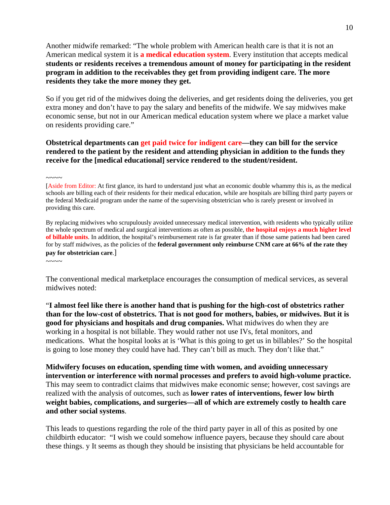Another midwife remarked: "The whole problem with American health care is that it is not an American medical system it is **a medical education system**. Every institution that accepts medical **students or residents receives a tremendous amount of money for participating in the resident program in addition to the receivables they get from providing indigent care. The more residents they take the more money they get.**

So if you get rid of the midwives doing the deliveries, and get residents doing the deliveries, you get extra money and don't have to pay the salary and benefits of the midwife. We say midwives make economic sense, but not in our American medical education system where we place a market value on residents providing care."

## **Obstetrical departments can get paid twice for indigent care—they can bill for the service rendered to the patient by the resident and attending physician in addition to the funds they receive for the [medical educational] service rendered to the student/resident.**

 $\sim\sim\sim\sim$ 

 $\sim\sim\sim\sim$ 

[Aside from Editor: At first glance, its hard to understand just what an economic double whammy this is, as the medical schools are billing each of their residents for their medical education, while are hospitals are billing third party payers or the federal Medicaid program under the name of the supervising obstetrician who is rarely present or involved in providing this care.

By replacing midwives who scrupulously avoided unnecessary medical intervention, with residents who typically utilize the whole spectrum of medical and surgical interventions as often as possible, **the hospital enjoys a much higher level of billable units**. In addition, the hospital's reimbursement rate is far greater than if those same patients had been cared for by staff midwives, as the policies of the **federal government only reimburse CNM care at 66% of the rate they pay for obstetrician care**.]

The conventional medical marketplace encourages the consumption of medical services, as several midwives noted:

"**I almost feel like there is another hand that is pushing for the high-cost of obstetrics rather than for the low-cost of obstetrics. That is not good for mothers, babies, or midwives. But it is good for physicians and hospitals and drug companies.** What midwives do when they are working in a hospital is not billable. They would rather not use IVs, fetal monitors, and medications. What the hospital looks at is 'What is this going to get us in billables?' So the hospital is going to lose money they could have had. They can't bill as much. They don't like that."

**Midwifery focuses on education, spending time with women, and avoiding unnecessary intervention or interference with normal processes and prefers to avoid high-volume practice.** This may seem to contradict claims that midwives make economic sense; however, cost savings are realized with the analysis of outcomes, such as **lower rates of interventions, fewer low birth weight babies, complications, and surgeries—all of which are extremely costly to health care and other social systems**.

This leads to questions regarding the role of the third party payer in all of this as posited by one childbirth educator: "I wish we could somehow influence payers, because they should care about these things. y It seems as though they should be insisting that physicians be held accountable for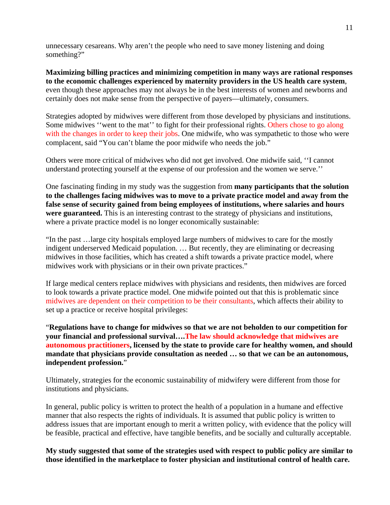unnecessary cesareans. Why aren't the people who need to save money listening and doing something?"

**Maximizing billing practices and minimizing competition in many ways are rational responses to the economic challenges experienced by maternity providers in the US health care system**, even though these approaches may not always be in the best interests of women and newborns and certainly does not make sense from the perspective of payers—ultimately, consumers.

Strategies adopted by midwives were different from those developed by physicians and institutions. Some midwives ''went to the mat'' to fight for their professional rights. Others chose to go along with the changes in order to keep their jobs. One midwife, who was sympathetic to those who were complacent, said "You can't blame the poor midwife who needs the job."

Others were more critical of midwives who did not get involved. One midwife said, ''I cannot understand protecting yourself at the expense of our profession and the women we serve.''

One fascinating finding in my study was the suggestion from **many participants that the solution to the challenges facing midwives was to move to a private practice model and away from the false sense of security gained from being employees of institutions, where salaries and hours were guaranteed.** This is an interesting contrast to the strategy of physicians and institutions, where a private practice model is no longer economically sustainable:

"In the past …large city hospitals employed large numbers of midwives to care for the mostly indigent underserved Medicaid population. … But recently, they are eliminating or decreasing midwives in those facilities, which has created a shift towards a private practice model, where midwives work with physicians or in their own private practices."

If large medical centers replace midwives with physicians and residents, then midwives are forced to look towards a private practice model. One midwife pointed out that this is problematic since midwives are dependent on their competition to be their consultants, which affects their ability to set up a practice or receive hospital privileges:

"**Regulations have to change for midwives so that we are not beholden to our competition for your financial and professional survival….The law should acknowledge that midwives are autonomous practitioners, licensed by the state to provide care for healthy women, and should mandate that physicians provide consultation as needed … so that we can be an autonomous, independent profession.**"

Ultimately, strategies for the economic sustainability of midwifery were different from those for institutions and physicians.

In general, public policy is written to protect the health of a population in a humane and effective manner that also respects the rights of individuals. It is assumed that public policy is written to address issues that are important enough to merit a written policy, with evidence that the policy will be feasible, practical and effective, have tangible benefits, and be socially and culturally acceptable.

**My study suggested that some of the strategies used with respect to public policy are similar to those identified in the marketplace to foster physician and institutional control of health care.**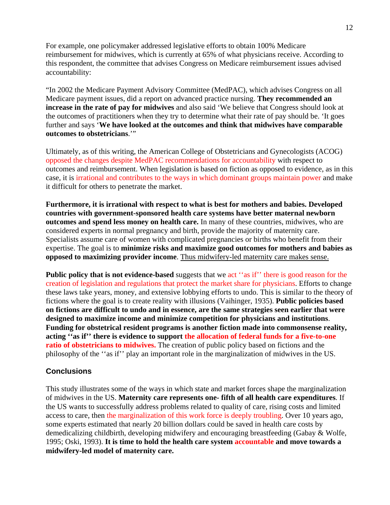For example, one policymaker addressed legislative efforts to obtain 100% Medicare reimbursement for midwives, which is currently at 65% of what physicians receive. According to this respondent, the committee that advises Congress on Medicare reimbursement issues advised accountability:

"In 2002 the Medicare Payment Advisory Committee (MedPAC), which advises Congress on all Medicare payment issues, did a report on advanced practice nursing. **They recommended an increase in the rate of pay for midwives** and also said 'We believe that Congress should look at the outcomes of practitioners when they try to determine what their rate of pay should be. 'It goes further and says '**We have looked at the outcomes and think that midwives have comparable outcomes to obstetricians**.'"

Ultimately, as of this writing, the American College of Obstetricians and Gynecologists (ACOG) opposed the changes despite MedPAC recommendations for accountability with respect to outcomes and reimbursement. When legislation is based on fiction as opposed to evidence, as in this case, it is irrational and contributes to the ways in which dominant groups maintain power and make it difficult for others to penetrate the market.

**Furthermore, it is irrational with respect to what is best for mothers and babies. Developed countries with government-sponsored health care systems have better maternal newborn outcomes and spend less money on health care.** In many of these countries, midwives, who are considered experts in normal pregnancy and birth, provide the majority of maternity care. Specialists assume care of women with complicated pregnancies or births who benefit from their expertise. The goal is to **minimize risks and maximize good outcomes for mothers and babies as opposed to maximizing provider income**. Thus midwifery-led maternity care makes sense.

**Public policy that is not evidence-based** suggests that we act "as if" there is good reason for the creation of legislation and regulations that protect the market share for physicians. Efforts to change these laws take years, money, and extensive lobbying efforts to undo. This is similar to the theory of fictions where the goal is to create reality with illusions (Vaihinger, 1935). **Public policies based on fictions are difficult to undo and in essence, are the same strategies seen earlier that were designed to maximize income and minimize competition for physicians and institutions**. **Funding for obstetrical resident programs is another fiction made into commonsense reality, acting ''as if'' there is evidence to support the allocation of federal funds for a five-to-one ratio of obstetricians to midwives.** The creation of public policy based on fictions and the philosophy of the ''as if'' play an important role in the marginalization of midwives in the US.

## **Conclusions**

This study illustrates some of the ways in which state and market forces shape the marginalization of midwives in the US. **Maternity care represents one- fifth of all health care expenditures**. If the US wants to successfully address problems related to quality of care, rising costs and limited access to care, then the marginalization of this work force is deeply troubling. Over 10 years ago, some experts estimated that nearly 20 billion dollars could be saved in health care costs by demedicalizing childbirth, developing midwifery and encouraging breastfeeding (Gabay & Wolfe, 1995; Oski, 1993). **It is time to hold the health care system accountable and move towards a midwifery-led model of maternity care.**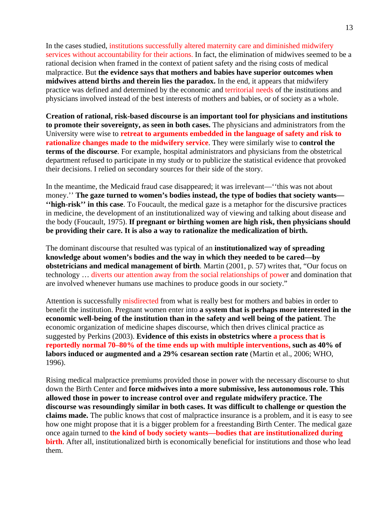In the cases studied, institutions successfully altered maternity care and diminished midwifery services without accountability for their actions. In fact, the elimination of midwives seemed to be a rational decision when framed in the context of patient safety and the rising costs of medical malpractice. But **the evidence says that mothers and babies have superior outcomes when midwives attend births and therein lies the paradox.** In the end, it appears that midwifery practice was defined and determined by the economic and territorial needs of the institutions and physicians involved instead of the best interests of mothers and babies, or of society as a whole.

**Creation of rational, risk-based discourse is an important tool for physicians and institutions to promote their sovereignty, as seen in both cases.** The physicians and administrators from the University were wise to **retreat to arguments embedded in the language of safety and risk to rationalize changes made to the midwifery service**. They were similarly wise to **control the terms of the discourse**. For example, hospital administrators and physicians from the obstetrical department refused to participate in my study or to publicize the statistical evidence that provoked their decisions. I relied on secondary sources for their side of the story.

In the meantime, the Medicaid fraud case disappeared; it was irrelevant—''this was not about money.'' **The gaze turned to women's bodies instead, the type of bodies that society wants— ''high-risk'' in this case**. To Foucault, the medical gaze is a metaphor for the discursive practices in medicine, the development of an institutionalized way of viewing and talking about disease and the body (Foucault, 1975). **If pregnant or birthing women are high risk, then physicians should be providing their care. It is also a way to rationalize the medicalization of birth.**

The dominant discourse that resulted was typical of an **institutionalized way of spreading knowledge about women's bodies and the way in which they needed to be cared—by obstetricians and medical management of birth**. Martin (2001, p. 57) writes that, "Our focus on technology … diverts our attention away from the social relationships of power and domination that are involved whenever humans use machines to produce goods in our society."

Attention is successfully misdirected from what is really best for mothers and babies in order to benefit the institution. Pregnant women enter into **a system that is perhaps more interested in the economic well-being of the institution than in the safety and well being of the patient**. The economic organization of medicine shapes discourse, which then drives clinical practice as suggested by Perkins (2003). **Evidence of this exists in obstetrics where a process that is reportedly normal 70–80% of the time ends up with multiple interventions, such as 40% of labors induced or augmented and a 29% cesarean section rate** (Martin et al., 2006; WHO, 1996).

Rising medical malpractice premiums provided those in power with the necessary discourse to shut down the Birth Center and **force midwives into a more submissive, less autonomous role. This allowed those in power to increase control over and regulate midwifery practice. The discourse was resoundingly similar in both cases. It was difficult to challenge or question the claims made.** The public knows that cost of malpractice insurance is a problem, and it is easy to see how one might propose that it is a bigger problem for a freestanding Birth Center. The medical gaze once again turned to **the kind of body society wants—bodies that are institutionalized during birth**. After all, institutionalized birth is economically beneficial for institutions and those who lead them.